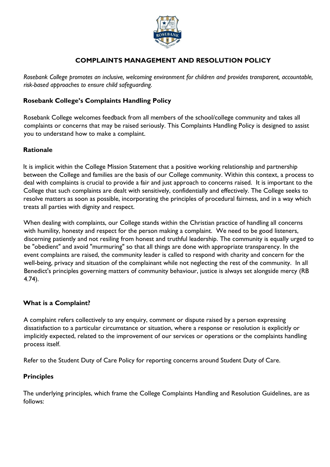

# **COMPLAINTS MANAGEMENT AND RESOLUTION POLICY**

*Rosebank College promotes an inclusive, welcoming environment for children and provides transparent, accountable, risk-based approaches to ensure child safeguarding.*

### **Rosebank College's Complaints Handling Policy**

Rosebank College welcomes feedback from all members of the school/college community and takes all complaints or concerns that may be raised seriously. This Complaints Handling Policy is designed to assist you to understand how to make a complaint.

### **Rationale**

It is implicit within the College Mission Statement that a positive working relationship and partnership between the College and families are the basis of our College community. Within this context, a process to deal with complaints is crucial to provide a fair and just approach to concerns raised. It is important to the College that such complaints are dealt with sensitively, confidentially and effectively. The College seeks to resolve matters as soon as possible, incorporating the principles of procedural fairness, and in a way which treats all parties with dignity and respect.

When dealing with complaints, our College stands within the Christian practice of handling all concerns with humility, honesty and respect for the person making a complaint. We need to be good listeners, discerning patiently and not resiling from honest and truthful leadership. The community is equally urged to be "obedient" and avoid "murmuring" so that all things are done with appropriate transparency. In the event complaints are raised, the community leader is called to respond with charity and concern for the well-being, privacy and situation of the complainant while not neglecting the rest of the community. In all Benedict's principles governing matters of community behaviour, justice is always set alongside mercy (RB 4.74).

# **What is a Complaint?**

A complaint refers collectively to any enquiry, comment or dispute raised by a person expressing dissatisfaction to a particular circumstance or situation, where a response or resolution is explicitly or implicitly expected, related to the improvement of our services or operations or the complaints handling process itself.

Refer to the Student Duty of Care Policy for reporting concerns around Student Duty of Care.

### **Principles**

The underlying principles, which frame the College Complaints Handling and Resolution Guidelines, are as follows: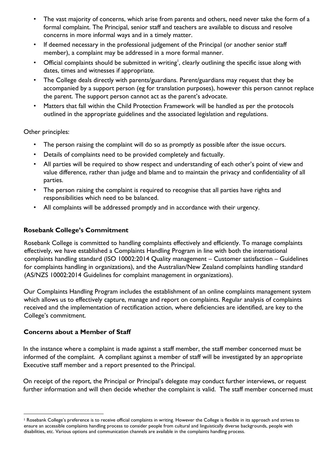- The vast majority of concerns, which arise from parents and others, need never take the form of a formal complaint. The Principal, senior staff and teachers are available to discuss and resolve concerns in more informal ways and in a timely matter.
- If deemed necessary in the professional judgement of the Principal (or another senior staff member), a complaint may be addressed in a more formal manner.
- Official complaints should be submitted in writing<sup>1</sup>, clearly outlining the specific issue along with dates, times and witnesses if appropriate.
- The College deals directly with parents/guardians. Parent/guardians may request that they be accompanied by a support person (eg for translation purposes), however this person cannot replace the parent. The support person cannot act as the parent's advocate.
- Matters that fall within the Child Protection Framework will be handled as per the protocols outlined in the appropriate guidelines and the associated legislation and regulations.

Other principles:

- The person raising the complaint will do so as promptly as possible after the issue occurs.
- Details of complaints need to be provided completely and factually.
- All parties will be required to show respect and understanding of each other's point of view and value difference, rather than judge and blame and to maintain the privacy and confidentiality of all parties.
- The person raising the complaint is required to recognise that all parties have rights and responsibilities which need to be balanced.
- All complaints will be addressed promptly and in accordance with their urgency.

#### **Rosebank College's Commitment**

Rosebank College is committed to handling complaints effectively and efficiently. To manage complaints effectively, we have established a Complaints Handling Program in line with both the international complaints handling standard (ISO 10002:2014 Quality management – Customer satisfaction – Guidelines for complaints handling in organizations), and the Australian/New Zealand complaints handling standard (AS/NZS 10002:2014 Guidelines for complaint management in organizations).

Our Complaints Handling Program includes the establishment of an online complaints management system which allows us to effectively capture, manage and report on complaints. Regular analysis of complaints received and the implementation of rectification action, where deficiencies are identified, are key to the College's commitment.

### **Concerns about a Member of Staff**

 $\overline{a}$ 

In the instance where a complaint is made against a staff member, the staff member concerned must be informed of the complaint. A compliant against a member of staff will be investigated by an appropriate Executive staff member and a report presented to the Principal.

On receipt of the report, the Principal or Principal's delegate may conduct further interviews, or request further information and will then decide whether the complaint is valid. The staff member concerned must

<sup>&</sup>lt;sup>1</sup> Rosebank College's preference is to receive official complaints in writing. However the College is flexible in its approach and strives to ensure an accessible complaints handling process to consider people from cultural and linguistically diverse backgrounds, people with disabilities, etc. Various options and communication channels are available in the complaints handling process.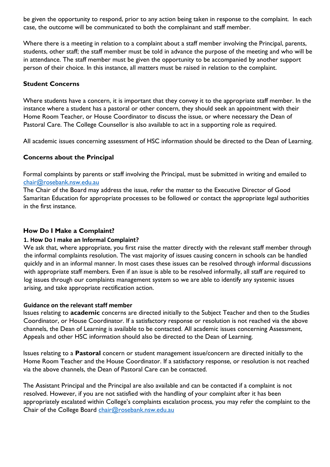be given the opportunity to respond, prior to any action being taken in response to the complaint. In each case, the outcome will be communicated to both the complainant and staff member.

Where there is a meeting in relation to a complaint about a staff member involving the Principal, parents, students, other staff; the staff member must be told in advance the purpose of the meeting and who will be in attendance. The staff member must be given the opportunity to be accompanied by another support person of their choice. In this instance, all matters must be raised in relation to the complaint.

### **Student Concerns**

Where students have a concern, it is important that they convey it to the appropriate staff member. In the instance where a student has a pastoral or other concern, they should seek an appointment with their Home Room Teacher, or House Coordinator to discuss the issue, or where necessary the Dean of Pastoral Care. The College Counsellor is also available to act in a supporting role as required.

All academic issues concerning assessment of HSC information should be directed to the Dean of Learning.

# **Concerns about the Principal**

Formal complaints by parents or staff involving the Principal, must be submitted in writing and emailed to [chair@rosebank.nsw.edu.au](mailto:chair@rosebank.nsw.edu.au)

The Chair of the Board may address the issue, refer the matter to the Executive Director of Good Samaritan Education for appropriate processes to be followed or contact the appropriate legal authorities in the first instance.

# **How Do I Make a Complaint?**

### **1. How Do I make an Informal Complaint?**

We ask that, where appropriate, you first raise the matter directly with the relevant staff member through the informal complaints resolution. The vast majority of issues causing concern in schools can be handled quickly and in an informal manner. In most cases these issues can be resolved through informal discussions with appropriate staff members. Even if an issue is able to be resolved informally, all staff are required to log issues through our complaints management system so we are able to identify any systemic issues arising, and take appropriate rectification action.

### **Guidance on the relevant staff member**

Issues relating to **academic** concerns are directed initially to the Subject Teacher and then to the Studies Coordinator, or House Coordinator. If a satisfactory response or resolution is not reached via the above channels, the Dean of Learning is available to be contacted. All academic issues concerning Assessment, Appeals and other HSC information should also be directed to the Dean of Learning.

Issues relating to a **Pastoral** concern or student management issue/concern are directed initially to the Home Room Teacher and the House Coordinator. If a satisfactory response, or resolution is not reached via the above channels, the Dean of Pastoral Care can be contacted.

The Assistant Principal and the Principal are also available and can be contacted if a complaint is not resolved. However, if you are not satisfied with the handling of your complaint after it has been appropriately escalated within College's complaints escalation process, you may refer the complaint to the Chair of the College Board [chair@rosebank.nsw.edu.au](mailto:chair@rosebank.nsw.edu.au)